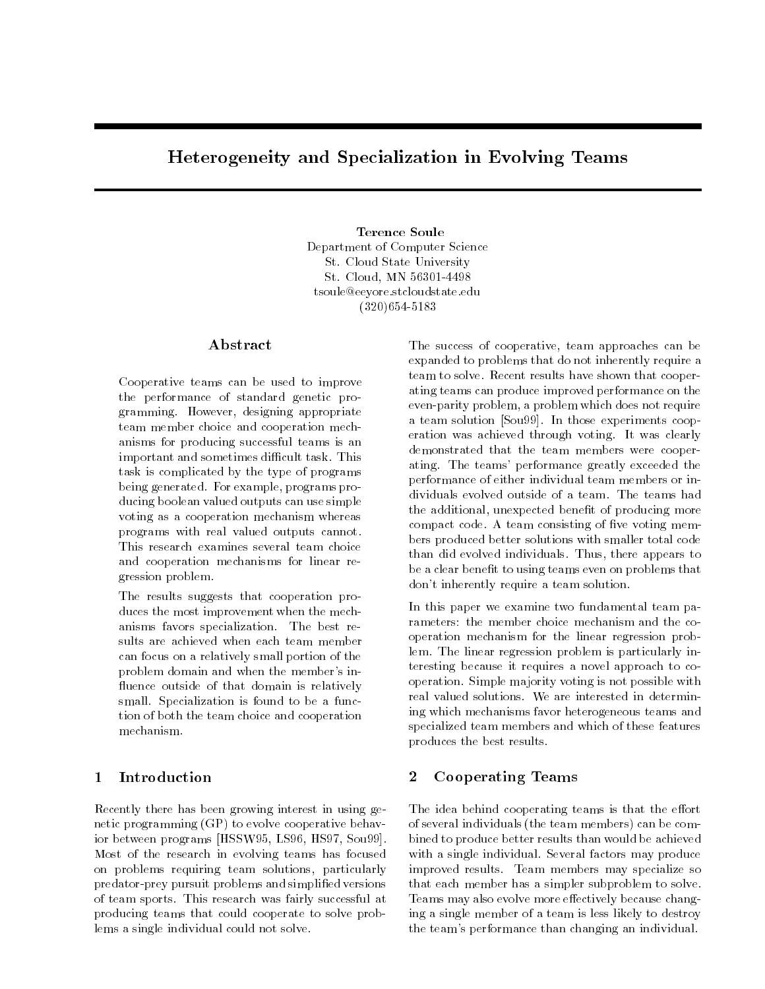# Heterogeneity and Specialization in Evolving Teams

**Terence Soule** Department of Computer Science St. Cloud State University St. Cloud. MN 56301-4498 St. Cloud, MN 56301-4498 tsoule@eeyore.stcloudstate.edu (320)654-5183

# Abstract

Cooperative teams can be used to improve the performance of standard genetic programming. However, designing appropriate team member choice and cooperation mechanisms for producing successful teams is an important and sometimes difficult task. This task is complicated by the type of programs being generated. For example, programs producing boolean valued outputs can use simple voting as a cooperation mechanism whereas programs with real valued outputs cannot. This research examines several team choice and cooperation mechanisms for linear regression problem.

The results suggests that cooperation produces the most improvement when the mechanisms favors specialization. The best results are achieved when each team member can focus on a relatively small portion of the problem domain and when the member's in fluence outside of that domain is relatively small. Specialization is found to be a function of both the team choice and cooperation mechanism.

## 1 Introduction

Recently there has been growing interest in using genetic programming (GP) to evolve cooperative behavior between programs [HSSW95, LS96, HS97, Sou99]. Most of the research in evolving teams has focused on problems requiring team solutions, particularly predator-prey pursuit problems and simplied versions of team sports. This research was fairly successful at producing teams that could cooperate to solve problems a single individual could not solve.

The success of cooperative, team approaches can be expanded to problems that do not inherently require a team to solve. Recent results have shown that cooperating teams can produce improved performance on the even-parity problem, a problem which does not require a team solution [Sou99]. In those experiments cooperation was achieved through voting. It was clearly demonstrated that the team members were cooperating. The teams' performance greatly exceeded the performance of either individual team members or individuals evolved outside of a team. The teams had the additional, unexpected benefit of producing more compact code. A team consisting of five voting members produced better solutions with smaller total code than did evolved individuals. Thus, there appears to be a clear benefit to using teams even on problems that don't inherently require a team solution.

In this paper we examine two fundamental team parameters: the member choice mechanism and the cooperation mechanism for the linear regression problem. The linear regression problem is particularly interesting because it requires a novel approach to cooperation. Simple majority voting is not possible with real valued solutions. We are interested in determining which mechanisms favor heterogeneous teams and specialized team members and which of these features produces the best results.

# 2 Cooperating Teams

The idea behind cooperating teams is that the effort of several individuals (the team members) can be combined to produce better results than would be achieved with a single individual. Several factors may produce improved results. Team members may specialize so that each member has a simpler subproblem to solve. Teams may also evolve more effectively because changing a single member of a team is less likely to destroy the team's performance than changing an individual.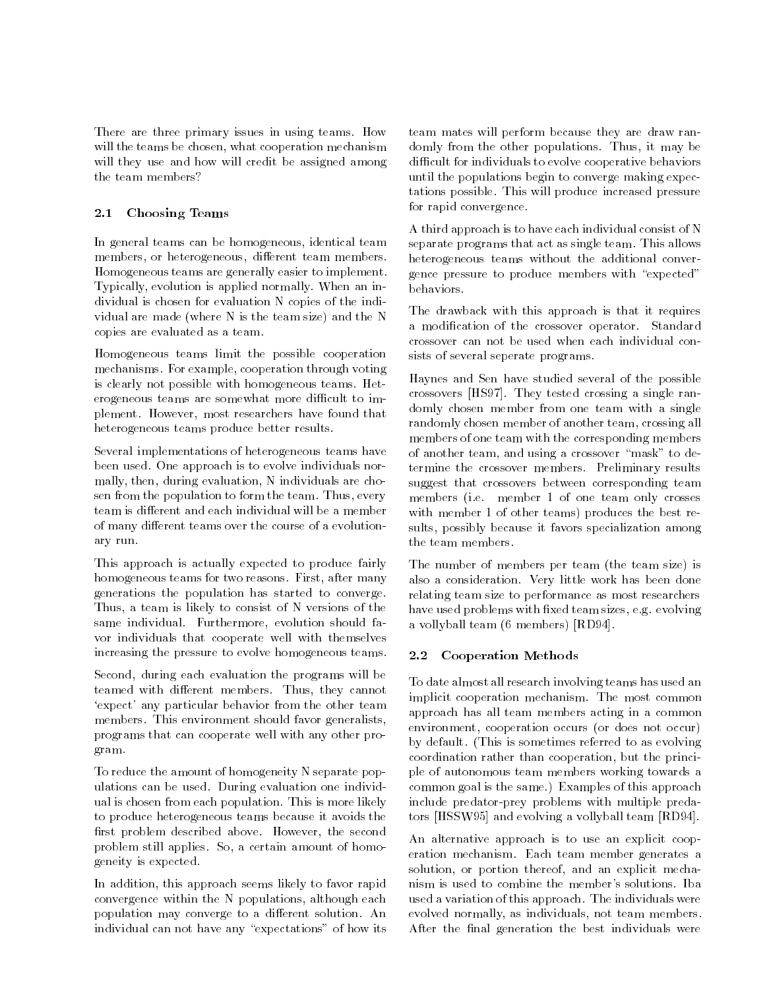There are three primary issues in using teams. How will the teams be chosen, what cooperation mechanism will they use and how will credit be assigned among

# 2.1 Choosing Teams

In general teams can be homogeneous, identical team members, or heterogeneous, different team members. Homogeneous teams are generally easier to implement. Typically, evolution is applied normally. When an individual is chosen for evaluation N copies of the individual are made (where N is the team size) and the N copies are evaluated as a team.

Homogeneous teams limit the possible cooperation mechanisms. For example, cooperation through voting is clearly not possible with homogeneous teams. Heterogeneous teams are somewhat more difficult to implement. However, most researchers have found that heterogeneous teams produce better results.

Several implementations of heterogeneous teams have been used. One approach is to evolve individuals normally, then, during evaluation, N individuals are chosen from the population to form the team. Thus, every team is different and each individual will be a member of many different teams over the course of a evolutionary run.

This approach is actually expected to produce fairly homogeneous teams for two reasons. First, after many generations the population has started to converge. Thus, a team is likely to consist of N versions of the same individual. Furthermore, evolution should favor individuals that cooperate well with themselves increasing the pressure to evolve homogeneous teams.

Second, during each evaluation the programs will be teamed with different members. Thus, they cannot `expect' any particular behavior from the other team members. This environment should favor generalists, programs that can cooperate well with any other program.

To reduce the amount of homogeneity N separate populations can be used. During evaluation one individual is chosen from each population. This is more likely to produce heterogeneous teams because it avoids the first problem described above. However, the second problem still applies. So, a certain amount of homogeneity is expected.

In addition, this approach seems likely to favor rapid convergence within the N populations, although each population may converge to a different solution. An individual can not have any "expectations" of how its

team mates will perform because they are draw randomly from the other populations. Thus, it may be difficult for individuals to evolve cooperative behaviors until the populations begin to converge making expectations possible. This will produce increased pressure for rapid convergence.

A third approach is to have each individual consist of N separate programs that act as single team. This allows heterogeneous teams without the additional convergence pressure to produce members with "expected" behaviors.

The drawback with this approach is that it requires a modication of the crossover operator. Standard crossover can not be used when each individual consists of several seperate programs.

Haynes and Sen have studied several of the possible crossovers [HS97]. They tested crossing a single randomly chosen member from one team with a single randomly chosen member of another team, crossing all members of one team with the corresponding members of another team, and using a crossover "mask" to determine the crossover members. Preliminary results suggest that crossovers between corresponding team members (i.e. member 1 of one team only crosses with member 1 of other teams) produces the best results, possibly because it favors specialization among the team members.

The number of members per team (the team size) is also a consideration. Very little work has been done relating team size to performance as most researchers have used problems with fixed team sizes, e.g. evolving a vollyball team (6 members) [RD94].

## 2.2 Cooperation Methods

To date almost all research involving teams has used an implicit cooperation mechanism. The most common approach has all team members acting in a common environment, cooperation occurs (or does not occur) by default. (This is sometimes referred to as evolving coordination rather than cooperation, but the principle of autonomous team members working towards a common goal is the same.) Examples of this approach include predator-prey problems with multiple predators [HSSW95] and evolving a vollyball team [RD94].

An alternative approach is to use an explicit cooperation mechanism. Each team member generates a solution, or portion thereof, and an explicit mechanism is used to combine the member's solutions. Iba used a variation of this approach. The individuals were evolved normally, as individuals, not team members. After the final generation the best individuals were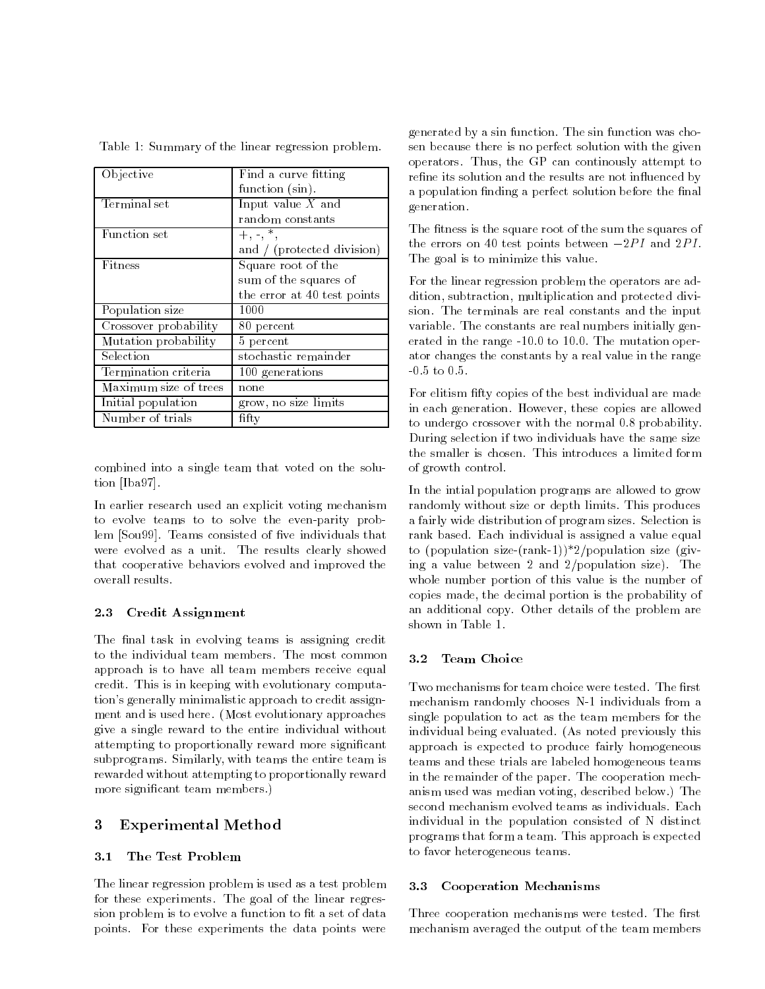| <b>Objective</b>      | Find a curve fitting        |  |  |
|-----------------------|-----------------------------|--|--|
|                       | function (sin).             |  |  |
| Terminal set          | Input value $X$ and         |  |  |
|                       | random constants            |  |  |
| Function set          | $+, -, *$                   |  |  |
|                       | and / (protected division)  |  |  |
| Fitness               | Square root of the          |  |  |
|                       | sum of the squares of       |  |  |
|                       | the error at 40 test points |  |  |
| Population size       | 1000                        |  |  |
| Crossover probability | 80 percent                  |  |  |
| Mutation probability  | $5$ percent                 |  |  |
| Selection             | stochastic remainder        |  |  |
| Termination criteria  | 100 generations             |  |  |
| Maximum size of trees | none                        |  |  |
| Initial population    | grow, no size limits        |  |  |
| Number of trials      | fifty                       |  |  |

Table 1: Summary of the linear regression problem.

combined into a single team that voted on the solution [Iba97].

In earlier research used an explicit voting mechanism to evolve teams to to solve the even-parity problem [Sou99]. Teams consisted of five individuals that were evolved as a unit. The results clearly showed that cooperative behaviors evolved and improved the overall results.

### 2.3 Credit Assignment

The final task in evolving teams is assigning credit to the individual team members. The most common 3.2 approach is to have all team members receive equal credit. This is in keeping with evolutionary computation's generally minimalistic approach to credit assign ment and is used here. (Most evolutionary approaches give a single reward to the entire individual without attempting to proportionally reward more signicant subprograms. Similarly, with teams the entire team is rewarded without attempting to proportionally reward more signicant team members.)

## 3 Experimental Method

#### $3.1$ The Test Problem

The linear regression problem is used as a test problem 3.3 for these experiments. The goal of the linear regression problem is to evolve a function to fit a set of data points. For these experiments the data points were

generated by a sin function. The sin function was chosen because there is no perfect solution with the given operators. Thus, the GP can continously attempt to refine its solution and the results are not influenced by a population finding a perfect solution before the final generation.

The fitness is the square root of the sum the squares of the errors on 40 test points between  $-2PI$  and  $2PI$ . The goal is to minimize this value.

For the linear regression problem the operators are addition, subtraction, multiplication and protected division. The terminals are real constants and the input variable. The constants are real numbers initially generated in the range -10.0 to 10.0. The mutation operator changes the constants by a real value in the range -0.5 to 0.5.

For elitism fifty copies of the best individual are made in each generation. However, these copies are allowed to undergo crossover with the normal 0.8 probability. During selection if two individuals have the same size the smaller is chosen. This introduces a limited form of growth control.

In the intial population programs are allowed to grow randomly without size or depth limits. This produces a fairly wide distribution of program sizes. Selection is rank based. Each individual is assigned a value equal to (population size-(rank-1))\*2/population size (giving a value between 2 and 2/population size). The whole number portion of this value is the number of copies made, the decimal portion is the probability of an additional copy. Other details of the problem are shown in Table 1.

### Team Choice

Two mechanisms for team choice were tested. The first mechanism randomly chooses N-1 individuals from a single population to act as the team members for the individual being evaluated. (As noted previously this approach is expected to produce fairly homogeneous teams and these trials are labeled homogeneous teams in the remainder of the paper. The cooperation mechanism used was median voting, described below.) The second mechanism evolved teams as individuals. Each individual in the population consisted of N distinct programs that form a team. This approach is expected to favor heterogeneous teams.

### 3.3 Cooperation Mechanisms

Three cooperation mechanisms were tested. The first mechanism averaged the output of the team members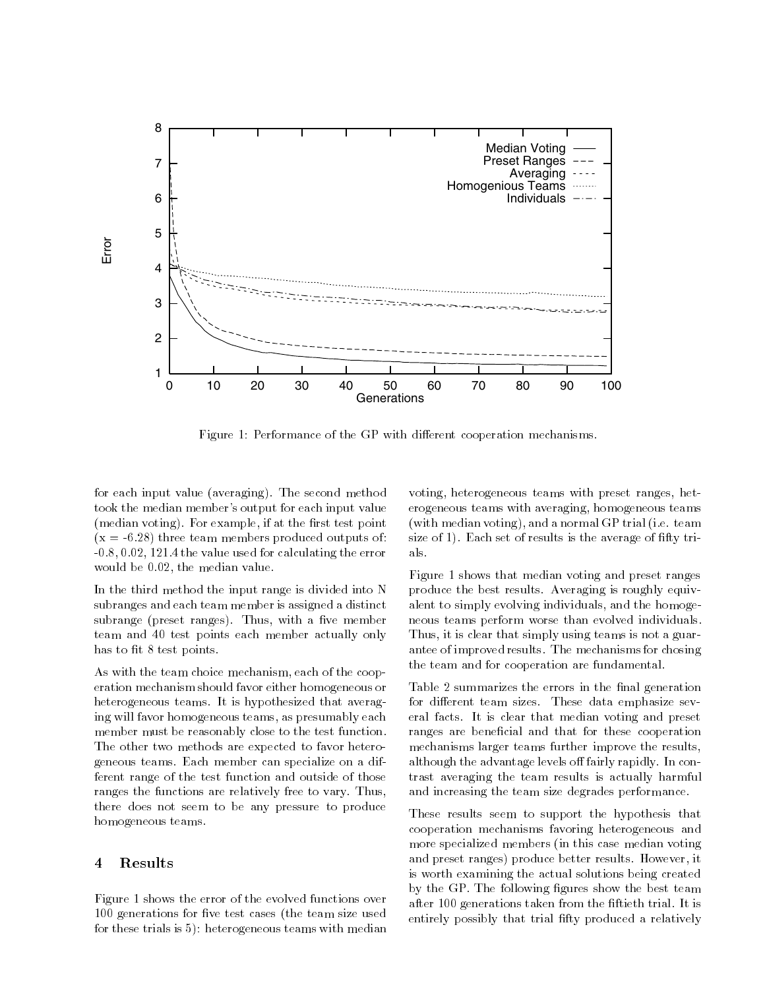

Figure 1: Performance of the GP with different cooperation mechanisms.

for each input value (averaging). The second method took the median member's output for each input value (median voting). For example, if at the first test point  $(x = -6.28)$  three team members produced outputs of: -0.8, 0.02, 121.4 the value used for calculating the error would be 0.02, the median value.

In the third method the input range is divided into N subranges and each team member is assigned a distinct subrange (preset ranges). Thus, with a five member team and 40 test points each member actually only has to fit 8 test points.

As with the team choice mechanism, each of the cooperation mechanism should favor either homogeneous or heterogeneous teams. It is hypothesized that averaging will favor homogeneous teams, as presumably each member must be reasonably close to the test function. The other two methods are expected to favor heterogeneous teams. Each member can specialize on a different range of the test function and outside of those ranges the functions are relatively free to vary. Thus, there does not seem to be any pressure to produce homogeneous teams.

#### $\overline{\mathbf{4}}$ Results

Figure 1 shows the error of the evolved functions over 100 generations for five test cases (the team size used for these trials is 5): heterogeneous teams with median

voting, heterogeneous teams with preset ranges, heterogeneous teams with averaging, homogeneous teams (with median voting), and a normal GP trial (i.e. team size of 1). Each set of results is the average of fifty trials.

Figure 1 shows that median voting and preset ranges produce the best results. Averaging is roughly equivalent to simply evolving individuals, and the homogeneous teams perform worse than evolved individuals. Thus, it is clear that simply using teams is not a guarantee of improved results. The mechanisms for chosing the team and for cooperation are fundamental.

Table 2 summarizes the errors in the final generation for different team sizes. These data emphasize several facts. It is clear that median voting and preset ranges are beneficial and that for these cooperation mechanisms larger teams further improve the results, although the advantage levels off fairly rapidly. In contrast averaging the team results is actually harmful and increasing the team size degrades performance.

These results seem to support the hypothesis that cooperation mechanisms favoring heterogeneous and more specialized members (in this case median voting and preset ranges) produce better results. However, it is worth examining the actual solutions being created by the GP. The following figures show the best team after 100 generations taken from the ftieth trial. It is entirely possibly that trial fifty produced a relatively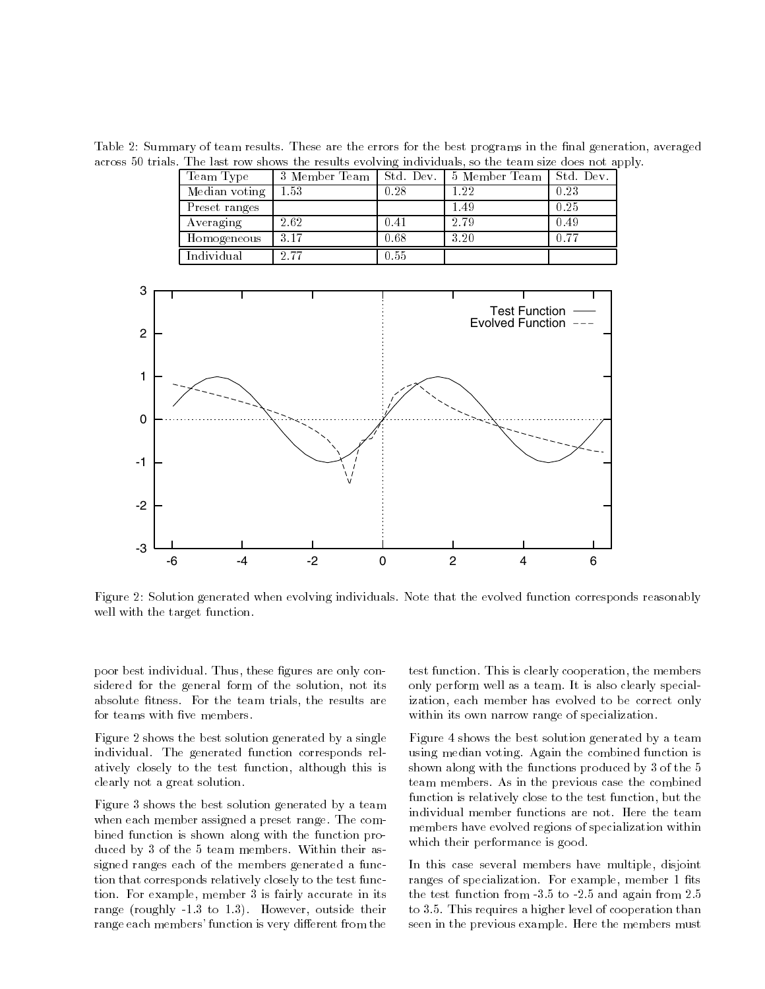Table 2: Summary of team results. These are the errors for the best programs in the final generation, averaged across 50 trials. The last row shows the results evolving individuals, so the team size does not apply.

| Team Type     | 3 Member Team   Std. Dev. |      | 5 Member Team   Std. Dev. |      |
|---------------|---------------------------|------|---------------------------|------|
| Median voting | 1.53                      | 0.28 | $1.22\,$                  | 0.23 |
| Preset ranges |                           |      | 1.49                      | 0.25 |
| Averaging     | 2.62                      | 0.41 | 2.79                      | 0.49 |
| Homogeneous   | -3.17                     | 0.68 | 3.20                      | 0.77 |
| Individual    | 2.77                      | 0.55 |                           |      |



Figure 2: Solution generated when evolving individuals. Note that the evolved function corresponds reasonably well with the target function.

poor best individual. Thus, these figures are only considered for the general form of the solution, not its absolute fitness. For the team trials, the results are for teams with five members.

Figure 2 shows the best solution generated by a single individual. The generated function corresponds relatively closely to the test function, although this is clearly not a great solution.

Figure 3 shows the best solution generated by a team when each member assigned a preset range. The combined function is shown along with the function produced by 3 of the 5 team members. Within their assigned ranges each of the members generated a function that corresponds relatively closely to the test function. For example, member 3 is fairly accurate in its range (roughly -1.3 to 1.3). However, outside their range each members' function is very different from the

test function. This is clearly cooperation, the members only perform well as a team. It is also clearly specialization, each member has evolved to be correct only within its own narrow range of specialization.

Figure 4 shows the best solution generated by a team using median voting. Again the combined function is shown along with the functions produced by 3 of the 5 team members. As in the previous case the combined function is relatively close to the test function, but the individual member functions are not. Here the team members have evolved regions of specialization within which their performance is good.

In this case several members have multiple, disjoint ranges of specialization. For example, member 1 fits the test function from -3.5 to -2.5 and again from 2.5 to 3.5. This requires a higher level of cooperation than seen in the previous example. Here the members must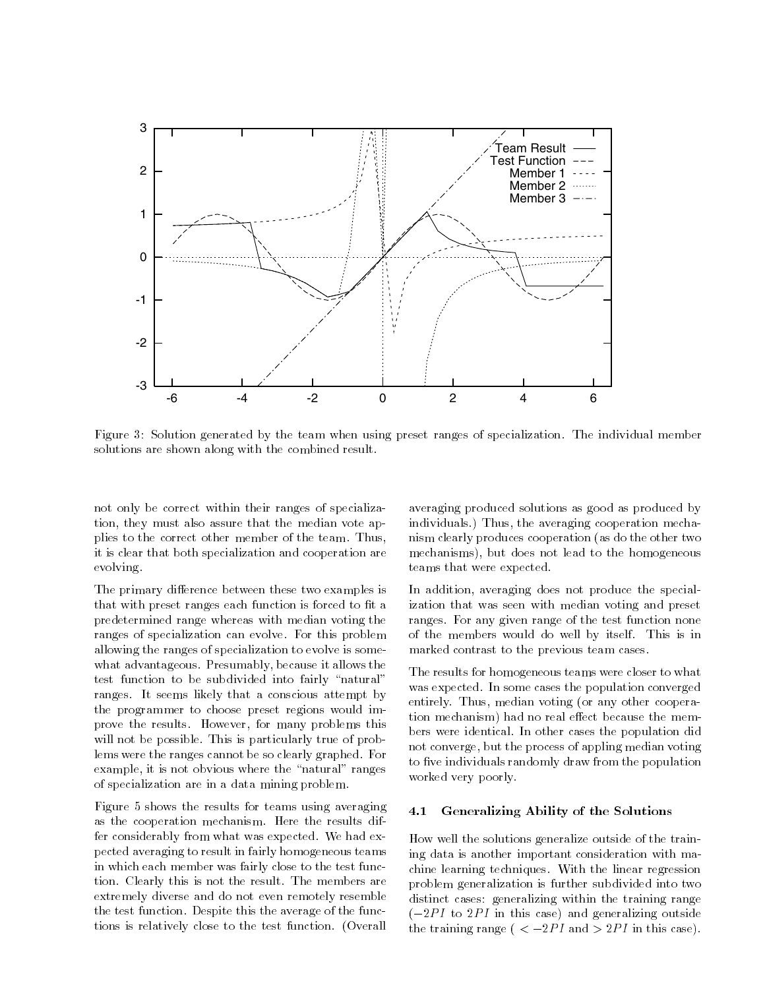

Figure 3: Solution generated by the team when using preset ranges of specialization. The individual member solutions are shown along with the combined result.

not only be correct within their ranges of specialization, they must also assure that the median vote applies to the correct other member of the team. Thus, it is clear that both specialization and cooperation are evolving.

The primary difference between these two examples is that with preset ranges each function is forced to fit a predetermined range whereas with median voting the ranges of specialization can evolve. For this problem allowing the ranges of specialization to evolve is somewhat advantageous. Presumably, because it allows the test function to be subdivided into fairly "natural" ranges. It seems likely that a conscious attempt by the programmer to choose preset regions would improve the results. However, for many problems this will not be possible. This is particularly true of problems were the ranges cannot be so clearly graphed. For example, it is not obvious where the "natural" ranges of specialization are in a data mining problem.

Figure 5 shows the results for teams using averaging as the cooperation mechanism. Here the results differ considerably from what was expected. We had expected averaging to result in fairly homogeneous teams in which each member was fairly close to the test function. Clearly this is not the result. The members are extremely diverse and do not even remotely resemble the test function. Despite this the average of the functions is relatively close to the test function. (Overall

averaging produced solutions as good as produced by individuals.) Thus, the averaging cooperation mechanism clearly produces cooperation (as do the other two mechanisms), but does not lead to the homogeneous teams that were expected.

In addition, averaging does not produce the specialization that was seen with median voting and preset ranges. For any given range of the test function none of the members would do well by itself. This is in marked contrast to the previous team cases.

The results for homogeneous teams were closer to what was expected. In some cases the population converged entirely. Thus, median voting (or any other cooperation mechanism) had no real effect because the members were identical. In other cases the population did not converge, but the process of appling median voting to five individuals randomly draw from the population worked very poorly.

### 4.1 Generalizing Ability of the Solutions

How well the solutions generalize outside of the training data is another important consideration with machine learning techniques. With the linear regression problem generalization is further subdivided into two distinct cases: generalizing within the training range  $(-2PI$  to  $2PI$  in this case) and generalizing outside the training range ( $\langle -2PI \rangle$  and  $> 2PI$  in this case).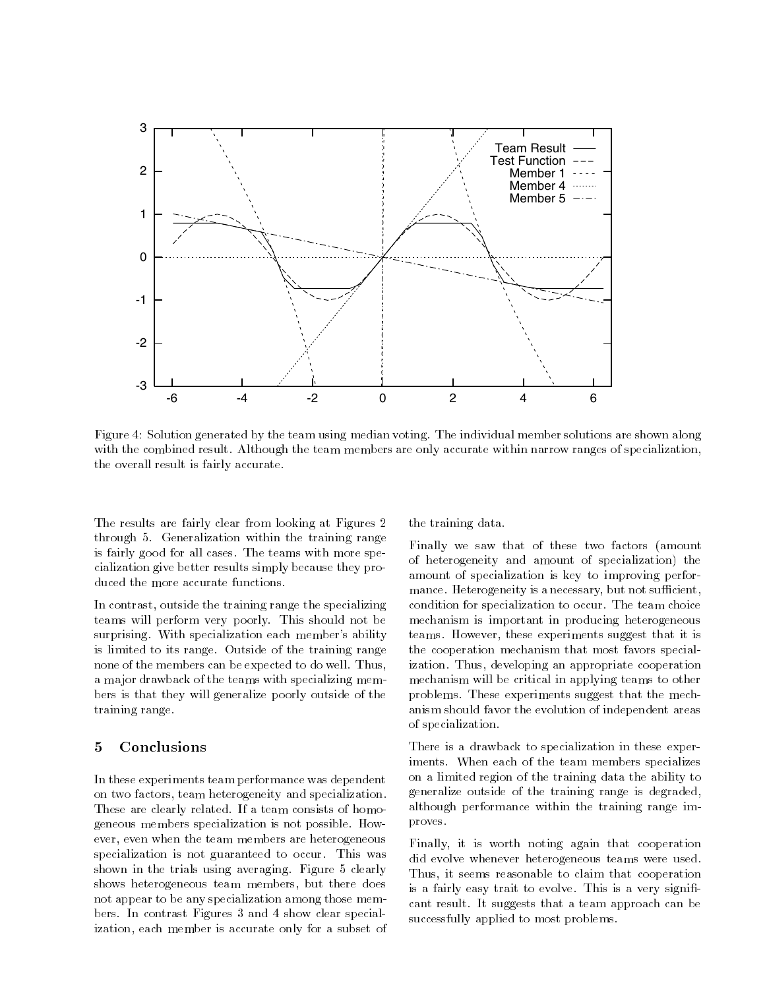

Figure 4: Solution generated by the team using median voting. The individual member solutions are shown along with the combined result. Although the team members are only accurate within narrow ranges of specialization, the overall result is fairly accurate.

The results are fairly clear from looking at Figures 2 through 5. Generalization within the training range is fairly good for all cases. The teams with more specialization give better results simply because they produced the more accurate functions.

In contrast, outside the training range the specializing teams will perform very poorly. This should not be surprising. With specialization each member's ability is limited to its range. Outside of the training range none of the members can be expected to do well. Thus, a major drawback of the teams with specializing members is that they will generalize poorly outside of the training range.

### 5 Conclusions

In these experiments team performance was dependent on two factors, team heterogeneity and specialization. These are clearly related. If a team consists of homogeneous members specialization is not possible. However, even when the team members are heterogeneous specialization is not guaranteed to occur. This was shown in the trials using averaging. Figure 5 clearly shows heterogeneous team members, but there does not appear to be any specialization among those members. In contrast Figures 3 and 4 show clear specialization, each member is accurate only for a subset of the training data.

Finally we saw that of these two factors (amount of heterogeneity and amount of specialization) the amount of specialization is key to improving performance. Heterogeneity is a necessary, but not sufficient, condition for specialization to occur. The team choice mechanism is important in producing heterogeneous teams. However, these experiments suggest that it is the cooperation mechanism that most favors specialization. Thus, developing an appropriate cooperation mechanism will be critical in applying teams to other problems. These experiments suggest that the mechanism should favor the evolution of independent areas of specialization.

There is a drawback to specialization in these experiments. When each of the team members specializes on a limited region of the training data the ability to generalize outside of the training range is degraded, although performance within the training range improves. proves.

Finally, it is worth noting again that cooperation did evolve whenever heterogeneous teams were used. Thus, it seems reasonable to claim that cooperation is a fairly easy trait to evolve. This is a very significant result. It suggests that a team approach can be successfully applied to most problems.